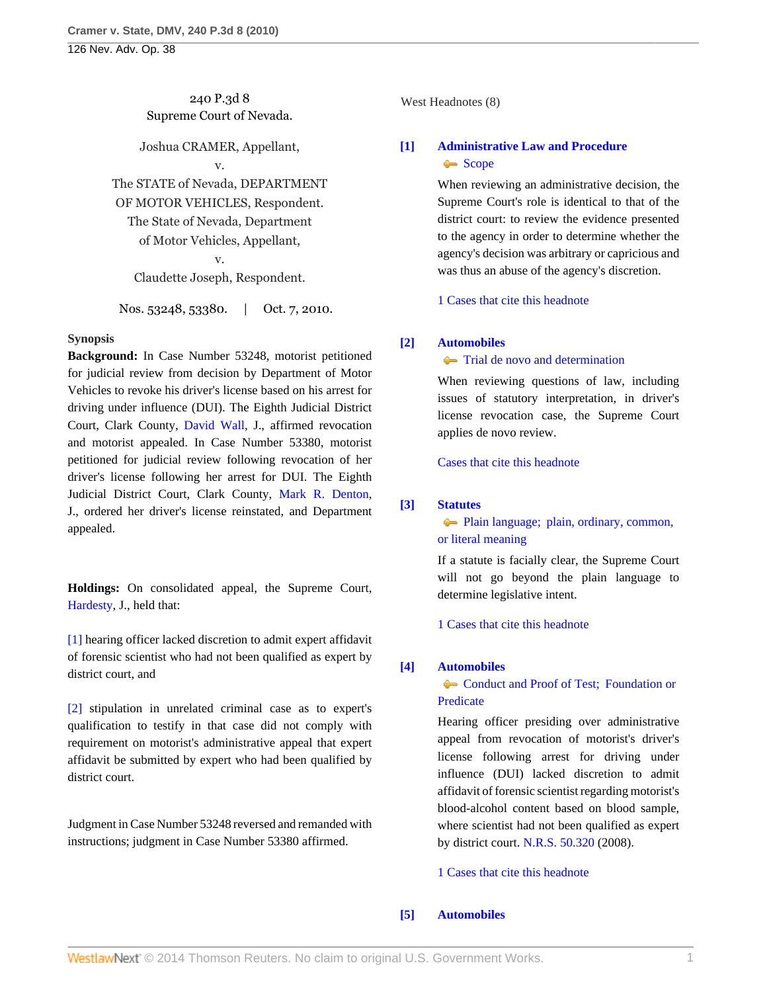# 240 P.3d 8 Supreme Court of Nevada.

Joshua CRAMER, Appellant,

v.

The STATE of Nevada, DEPARTMENT OF MOTOR VEHICLES, Respondent. The State of Nevada, Department of Motor Vehicles, Appellant,

# v.

Claudette Joseph, Respondent.

Nos. 53248, 53380. | Oct. 7, 2010.

## **Synopsis**

**Background:** In Case Number 53248, motorist petitioned for judicial review from decision by Department of Motor Vehicles to revoke his driver's license based on his arrest for driving under influence (DUI). The Eighth Judicial District Court, Clark County, [David Wall](http://www.westlaw.com/Link/Document/FullText?findType=h&pubNum=176284&cite=0459202401&originatingDoc=Ied01c5b2d2c911df89dabf2e8566150b&refType=RQ&originationContext=document&vr=3.0&rs=cblt1.0&transitionType=DocumentItem&contextData=(sc.Search)), J., affirmed revocation and motorist appealed. In Case Number 53380, motorist petitioned for judicial review following revocation of her driver's license following her arrest for DUI. The Eighth Judicial District Court, Clark County, [Mark R. Denton](http://www.westlaw.com/Link/Document/FullText?findType=h&pubNum=176284&cite=0168814601&originatingDoc=Ied01c5b2d2c911df89dabf2e8566150b&refType=RQ&originationContext=document&vr=3.0&rs=cblt1.0&transitionType=DocumentItem&contextData=(sc.Search)), J., ordered her driver's license reinstated, and Department appealed.

**Holdings:** On consolidated appeal, the Supreme Court, [Hardesty](http://www.westlaw.com/Link/Document/FullText?findType=h&pubNum=176284&cite=0155200601&originatingDoc=Ied01c5b2d2c911df89dabf2e8566150b&refType=RQ&originationContext=document&vr=3.0&rs=cblt1.0&transitionType=DocumentItem&contextData=(sc.Search)), J., held that:

[\[1\]](#page-0-0) hearing officer lacked discretion to admit expert affidavit of forensic scientist who had not been qualified as expert by district court, and

[\[2\]](#page-1-0) stipulation in unrelated criminal case as to expert's qualification to testify in that case did not comply with requirement on motorist's administrative appeal that expert affidavit be submitted by expert who had been qualified by district court.

Judgment in Case Number 53248 reversed and remanded with instructions; judgment in Case Number 53380 affirmed.

West Headnotes (8)

# <span id="page-0-1"></span>**[\[1\]](#page-2-0) [Administrative Law and Procedure](http://www.westlaw.com/Browse/Home/KeyNumber/15A/View.html?docGuid=Ied01c5b2d2c911df89dabf2e8566150b&originationContext=document&vr=3.0&rs=cblt1.0&transitionType=DocumentItem&contextData=(sc.Search))** [Scope](http://www.westlaw.com/Browse/Home/KeyNumber/15Ak683/View.html?docGuid=Ied01c5b2d2c911df89dabf2e8566150b&originationContext=document&vr=3.0&rs=cblt1.0&transitionType=DocumentItem&contextData=(sc.Search))

When reviewing an administrative decision, the Supreme Court's role is identical to that of the district court: to review the evidence presented to the agency in order to determine whether the agency's decision was arbitrary or capricious and was thus an abuse of the agency's discretion.

[1 Cases that cite this headnote](http://www.westlaw.com/Link/RelatedInformation/DocHeadnoteLink?docGuid=Ied01c5b2d2c911df89dabf2e8566150b&headnoteId=202326464200120131208082532&originationContext=document&vr=3.0&rs=cblt1.0&transitionType=CitingReferences&contextData=(sc.Search))

## <span id="page-0-2"></span>**[\[2\]](#page-2-1) [Automobiles](http://www.westlaw.com/Browse/Home/KeyNumber/48A/View.html?docGuid=Ied01c5b2d2c911df89dabf2e8566150b&originationContext=document&vr=3.0&rs=cblt1.0&transitionType=DocumentItem&contextData=(sc.Search))**

**[Trial de novo and determination](http://www.westlaw.com/Browse/Home/KeyNumber/48Ak144.2(4)/View.html?docGuid=Ied01c5b2d2c911df89dabf2e8566150b&originationContext=document&vr=3.0&rs=cblt1.0&transitionType=DocumentItem&contextData=(sc.Search))** 

When reviewing questions of law, including issues of statutory interpretation, in driver's license revocation case, the Supreme Court applies de novo review.

[Cases that cite this headnote](http://www.westlaw.com/Link/RelatedInformation/DocHeadnoteLink?docGuid=Ied01c5b2d2c911df89dabf2e8566150b&headnoteId=202326464200220131208082532&originationContext=document&vr=3.0&rs=cblt1.0&transitionType=CitingReferences&contextData=(sc.Search))

# <span id="page-0-3"></span>**[\[3\]](#page-2-2) [Statutes](http://www.westlaw.com/Browse/Home/KeyNumber/361/View.html?docGuid=Ied01c5b2d2c911df89dabf2e8566150b&originationContext=document&vr=3.0&rs=cblt1.0&transitionType=DocumentItem&contextData=(sc.Search))**

[Plain language; plain, ordinary, common,](http://www.westlaw.com/Browse/Home/KeyNumber/361k1111/View.html?docGuid=Ied01c5b2d2c911df89dabf2e8566150b&originationContext=document&vr=3.0&rs=cblt1.0&transitionType=DocumentItem&contextData=(sc.Search)) [or literal meaning](http://www.westlaw.com/Browse/Home/KeyNumber/361k1111/View.html?docGuid=Ied01c5b2d2c911df89dabf2e8566150b&originationContext=document&vr=3.0&rs=cblt1.0&transitionType=DocumentItem&contextData=(sc.Search))

If a statute is facially clear, the Supreme Court will not go beyond the plain language to determine legislative intent.

[1 Cases that cite this headnote](http://www.westlaw.com/Link/RelatedInformation/DocHeadnoteLink?docGuid=Ied01c5b2d2c911df89dabf2e8566150b&headnoteId=202326464200320131208082532&originationContext=document&vr=3.0&rs=cblt1.0&transitionType=CitingReferences&contextData=(sc.Search))

# <span id="page-0-0"></span>**[\[4\]](#page-3-0) [Automobiles](http://www.westlaw.com/Browse/Home/KeyNumber/48A/View.html?docGuid=Ied01c5b2d2c911df89dabf2e8566150b&originationContext=document&vr=3.0&rs=cblt1.0&transitionType=DocumentItem&contextData=(sc.Search))**

[Conduct and Proof of Test; Foundation or](http://www.westlaw.com/Browse/Home/KeyNumber/48Ak422/View.html?docGuid=Ied01c5b2d2c911df89dabf2e8566150b&originationContext=document&vr=3.0&rs=cblt1.0&transitionType=DocumentItem&contextData=(sc.Search)) [Predicate](http://www.westlaw.com/Browse/Home/KeyNumber/48Ak422/View.html?docGuid=Ied01c5b2d2c911df89dabf2e8566150b&originationContext=document&vr=3.0&rs=cblt1.0&transitionType=DocumentItem&contextData=(sc.Search))

Hearing officer presiding over administrative appeal from revocation of motorist's driver's license following arrest for driving under influence (DUI) lacked discretion to admit affidavit of forensic scientist regarding motorist's blood-alcohol content based on blood sample, where scientist had not been qualified as expert by district court. [N.R.S. 50.320](http://www.westlaw.com/Link/Document/FullText?findType=L&pubNum=1000363&cite=NVST50.320&originatingDoc=Ied01c5b2d2c911df89dabf2e8566150b&refType=LQ&originationContext=document&vr=3.0&rs=cblt1.0&transitionType=DocumentItem&contextData=(sc.Search)) (2008).

[1 Cases that cite this headnote](http://www.westlaw.com/Link/RelatedInformation/DocHeadnoteLink?docGuid=Ied01c5b2d2c911df89dabf2e8566150b&headnoteId=202326464200420131208082532&originationContext=document&vr=3.0&rs=cblt1.0&transitionType=CitingReferences&contextData=(sc.Search))

# <span id="page-0-4"></span>**[\[5\]](#page-4-0) [Automobiles](http://www.westlaw.com/Browse/Home/KeyNumber/48A/View.html?docGuid=Ied01c5b2d2c911df89dabf2e8566150b&originationContext=document&vr=3.0&rs=cblt1.0&transitionType=DocumentItem&contextData=(sc.Search))**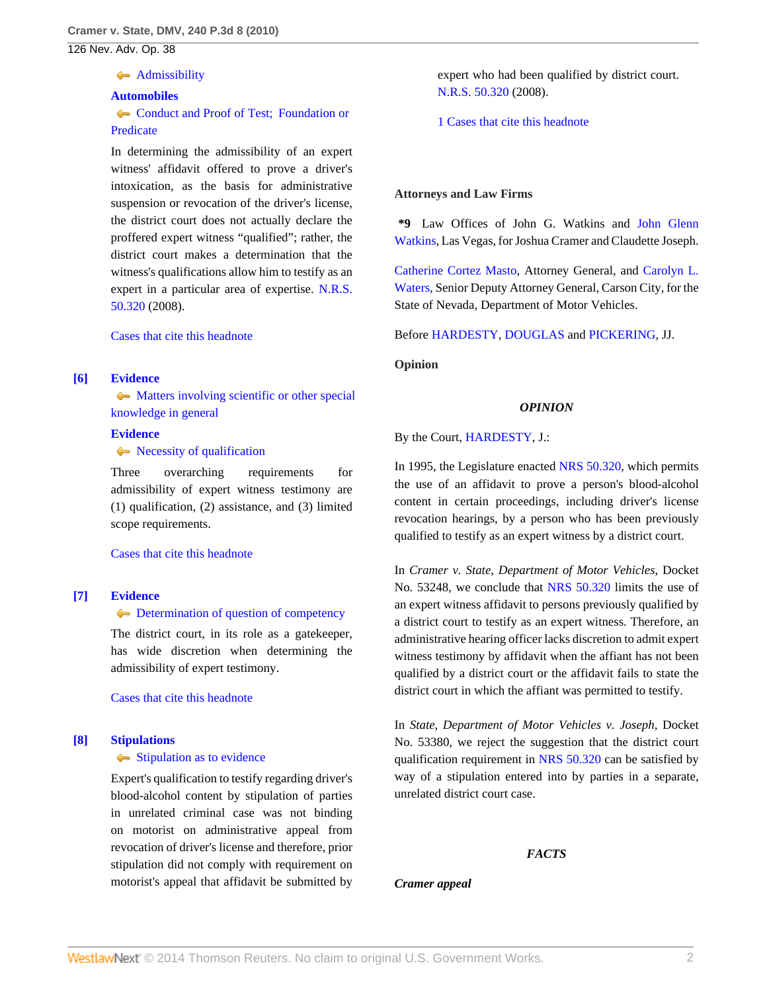#### **[Admissibility](http://www.westlaw.com/Browse/Home/KeyNumber/48Ak144.2(9.7)/View.html?docGuid=Ied01c5b2d2c911df89dabf2e8566150b&originationContext=document&vr=3.0&rs=cblt1.0&transitionType=DocumentItem&contextData=(sc.Search))**

#### **[Automobiles](http://www.westlaw.com/Browse/Home/KeyNumber/48A/View.html?docGuid=Ied01c5b2d2c911df89dabf2e8566150b&originationContext=document&vr=3.0&rs=cblt1.0&transitionType=DocumentItem&contextData=(sc.Search))**

Conduct and Proof of Test: Foundation or [Predicate](http://www.westlaw.com/Browse/Home/KeyNumber/48Ak422/View.html?docGuid=Ied01c5b2d2c911df89dabf2e8566150b&originationContext=document&vr=3.0&rs=cblt1.0&transitionType=DocumentItem&contextData=(sc.Search))

In determining the admissibility of an expert witness' affidavit offered to prove a driver's intoxication, as the basis for administrative suspension or revocation of the driver's license, the district court does not actually declare the proffered expert witness "qualified"; rather, the district court makes a determination that the witness's qualifications allow him to testify as an expert in a particular area of expertise. [N.R.S.](http://www.westlaw.com/Link/Document/FullText?findType=L&pubNum=1000363&cite=NVST50.320&originatingDoc=Ied01c5b2d2c911df89dabf2e8566150b&refType=LQ&originationContext=document&vr=3.0&rs=cblt1.0&transitionType=DocumentItem&contextData=(sc.Search)) [50.320](http://www.westlaw.com/Link/Document/FullText?findType=L&pubNum=1000363&cite=NVST50.320&originatingDoc=Ied01c5b2d2c911df89dabf2e8566150b&refType=LQ&originationContext=document&vr=3.0&rs=cblt1.0&transitionType=DocumentItem&contextData=(sc.Search)) (2008).

[Cases that cite this headnote](http://www.westlaw.com/Link/RelatedInformation/DocHeadnoteLink?docGuid=Ied01c5b2d2c911df89dabf2e8566150b&headnoteId=202326464200520131208082532&originationContext=document&vr=3.0&rs=cblt1.0&transitionType=CitingReferences&contextData=(sc.Search))

# <span id="page-1-1"></span>**[\[6\]](#page-4-1) [Evidence](http://www.westlaw.com/Browse/Home/KeyNumber/157/View.html?docGuid=Ied01c5b2d2c911df89dabf2e8566150b&originationContext=document&vr=3.0&rs=cblt1.0&transitionType=DocumentItem&contextData=(sc.Search))**

• [Matters involving scientific or other special](http://www.westlaw.com/Browse/Home/KeyNumber/157k508/View.html?docGuid=Ied01c5b2d2c911df89dabf2e8566150b&originationContext=document&vr=3.0&rs=cblt1.0&transitionType=DocumentItem&contextData=(sc.Search)) [knowledge in general](http://www.westlaw.com/Browse/Home/KeyNumber/157k508/View.html?docGuid=Ied01c5b2d2c911df89dabf2e8566150b&originationContext=document&vr=3.0&rs=cblt1.0&transitionType=DocumentItem&contextData=(sc.Search))

# **[Evidence](http://www.westlaw.com/Browse/Home/KeyNumber/157/View.html?docGuid=Ied01c5b2d2c911df89dabf2e8566150b&originationContext=document&vr=3.0&rs=cblt1.0&transitionType=DocumentItem&contextData=(sc.Search))**

 $\blacklozenge$  [Necessity of qualification](http://www.westlaw.com/Browse/Home/KeyNumber/157k535/View.html?docGuid=Ied01c5b2d2c911df89dabf2e8566150b&originationContext=document&vr=3.0&rs=cblt1.0&transitionType=DocumentItem&contextData=(sc.Search))

Three overarching requirements for admissibility of expert witness testimony are (1) qualification, (2) assistance, and (3) limited scope requirements.

[Cases that cite this headnote](http://www.westlaw.com/Link/RelatedInformation/DocHeadnoteLink?docGuid=Ied01c5b2d2c911df89dabf2e8566150b&headnoteId=202326464200620131208082532&originationContext=document&vr=3.0&rs=cblt1.0&transitionType=CitingReferences&contextData=(sc.Search))

## <span id="page-1-2"></span>**[\[7\]](#page-4-2) [Evidence](http://www.westlaw.com/Browse/Home/KeyNumber/157/View.html?docGuid=Ied01c5b2d2c911df89dabf2e8566150b&originationContext=document&vr=3.0&rs=cblt1.0&transitionType=DocumentItem&contextData=(sc.Search))**

## **[Determination of question of competency](http://www.westlaw.com/Browse/Home/KeyNumber/157k546/View.html?docGuid=Ied01c5b2d2c911df89dabf2e8566150b&originationContext=document&vr=3.0&rs=cblt1.0&transitionType=DocumentItem&contextData=(sc.Search))**

The district court, in its role as a gatekeeper, has wide discretion when determining the admissibility of expert testimony.

[Cases that cite this headnote](http://www.westlaw.com/Link/RelatedInformation/DocHeadnoteLink?docGuid=Ied01c5b2d2c911df89dabf2e8566150b&headnoteId=202326464200720131208082532&originationContext=document&vr=3.0&rs=cblt1.0&transitionType=CitingReferences&contextData=(sc.Search))

## <span id="page-1-0"></span>**[\[8\]](#page-4-3) [Stipulations](http://www.westlaw.com/Browse/Home/KeyNumber/363/View.html?docGuid=Ied01c5b2d2c911df89dabf2e8566150b&originationContext=document&vr=3.0&rs=cblt1.0&transitionType=DocumentItem&contextData=(sc.Search))**

## [Stipulation as to evidence](http://www.westlaw.com/Browse/Home/KeyNumber/363k18(6)/View.html?docGuid=Ied01c5b2d2c911df89dabf2e8566150b&originationContext=document&vr=3.0&rs=cblt1.0&transitionType=DocumentItem&contextData=(sc.Search))

Expert's qualification to testify regarding driver's blood-alcohol content by stipulation of parties in unrelated criminal case was not binding on motorist on administrative appeal from revocation of driver's license and therefore, prior stipulation did not comply with requirement on motorist's appeal that affidavit be submitted by expert who had been qualified by district court. [N.R.S. 50.320](http://www.westlaw.com/Link/Document/FullText?findType=L&pubNum=1000363&cite=NVST50.320&originatingDoc=Ied01c5b2d2c911df89dabf2e8566150b&refType=LQ&originationContext=document&vr=3.0&rs=cblt1.0&transitionType=DocumentItem&contextData=(sc.Search)) (2008).

[1 Cases that cite this headnote](http://www.westlaw.com/Link/RelatedInformation/DocHeadnoteLink?docGuid=Ied01c5b2d2c911df89dabf2e8566150b&headnoteId=202326464200820131208082532&originationContext=document&vr=3.0&rs=cblt1.0&transitionType=CitingReferences&contextData=(sc.Search))

#### **Attorneys and Law Firms**

**\*9** Law Offices of John G. Watkins and [John Glenn](http://www.westlaw.com/Link/Document/FullText?findType=h&pubNum=176284&cite=0281746601&originatingDoc=Ied01c5b2d2c911df89dabf2e8566150b&refType=RQ&originationContext=document&vr=3.0&rs=cblt1.0&transitionType=DocumentItem&contextData=(sc.Search)) [Watkins](http://www.westlaw.com/Link/Document/FullText?findType=h&pubNum=176284&cite=0281746601&originatingDoc=Ied01c5b2d2c911df89dabf2e8566150b&refType=RQ&originationContext=document&vr=3.0&rs=cblt1.0&transitionType=DocumentItem&contextData=(sc.Search)), Las Vegas, for Joshua Cramer and Claudette Joseph.

[Catherine Cortez Masto,](http://www.westlaw.com/Link/Document/FullText?findType=h&pubNum=176284&cite=0226701201&originatingDoc=Ied01c5b2d2c911df89dabf2e8566150b&refType=RQ&originationContext=document&vr=3.0&rs=cblt1.0&transitionType=DocumentItem&contextData=(sc.Search)) Attorney General, and [Carolyn L.](http://www.westlaw.com/Link/Document/FullText?findType=h&pubNum=176284&cite=0111911001&originatingDoc=Ied01c5b2d2c911df89dabf2e8566150b&refType=RQ&originationContext=document&vr=3.0&rs=cblt1.0&transitionType=DocumentItem&contextData=(sc.Search)) [Waters](http://www.westlaw.com/Link/Document/FullText?findType=h&pubNum=176284&cite=0111911001&originatingDoc=Ied01c5b2d2c911df89dabf2e8566150b&refType=RQ&originationContext=document&vr=3.0&rs=cblt1.0&transitionType=DocumentItem&contextData=(sc.Search)), Senior Deputy Attorney General, Carson City, for the State of Nevada, Department of Motor Vehicles.

Before [HARDESTY](http://www.westlaw.com/Link/Document/FullText?findType=h&pubNum=176284&cite=0155200601&originatingDoc=Ied01c5b2d2c911df89dabf2e8566150b&refType=RQ&originationContext=document&vr=3.0&rs=cblt1.0&transitionType=DocumentItem&contextData=(sc.Search)), [DOUGLAS](http://www.westlaw.com/Link/Document/FullText?findType=h&pubNum=176284&cite=0164861001&originatingDoc=Ied01c5b2d2c911df89dabf2e8566150b&refType=RQ&originationContext=document&vr=3.0&rs=cblt1.0&transitionType=DocumentItem&contextData=(sc.Search)) and [PICKERING,](http://www.westlaw.com/Link/Document/FullText?findType=h&pubNum=176284&cite=0144906901&originatingDoc=Ied01c5b2d2c911df89dabf2e8566150b&refType=RQ&originationContext=document&vr=3.0&rs=cblt1.0&transitionType=DocumentItem&contextData=(sc.Search)) JJ.

**Opinion**

## *OPINION*

By the Court, [HARDESTY](http://www.westlaw.com/Link/Document/FullText?findType=h&pubNum=176284&cite=0155200601&originatingDoc=Ied01c5b2d2c911df89dabf2e8566150b&refType=RQ&originationContext=document&vr=3.0&rs=cblt1.0&transitionType=DocumentItem&contextData=(sc.Search)), J.:

In 1995, the Legislature enacted [NRS 50.320,](http://www.westlaw.com/Link/Document/FullText?findType=L&pubNum=1000363&cite=NVST50.320&originatingDoc=Ied01c5b2d2c911df89dabf2e8566150b&refType=LQ&originationContext=document&vr=3.0&rs=cblt1.0&transitionType=DocumentItem&contextData=(sc.Search)) which permits the use of an affidavit to prove a person's blood-alcohol content in certain proceedings, including driver's license revocation hearings, by a person who has been previously qualified to testify as an expert witness by a district court.

In *Cramer v. State, Department of Motor Vehicles,* Docket No. 53248, we conclude that [NRS 50.320](http://www.westlaw.com/Link/Document/FullText?findType=L&pubNum=1000363&cite=NVST50.320&originatingDoc=Ied01c5b2d2c911df89dabf2e8566150b&refType=LQ&originationContext=document&vr=3.0&rs=cblt1.0&transitionType=DocumentItem&contextData=(sc.Search)) limits the use of an expert witness affidavit to persons previously qualified by a district court to testify as an expert witness. Therefore, an administrative hearing officer lacks discretion to admit expert witness testimony by affidavit when the affiant has not been qualified by a district court or the affidavit fails to state the district court in which the affiant was permitted to testify.

In *State, Department of Motor Vehicles v. Joseph,* Docket No. 53380, we reject the suggestion that the district court qualification requirement in [NRS 50.320](http://www.westlaw.com/Link/Document/FullText?findType=L&pubNum=1000363&cite=NVST50.320&originatingDoc=Ied01c5b2d2c911df89dabf2e8566150b&refType=LQ&originationContext=document&vr=3.0&rs=cblt1.0&transitionType=DocumentItem&contextData=(sc.Search)) can be satisfied by way of a stipulation entered into by parties in a separate, unrelated district court case.

#### *FACTS*

*Cramer appeal*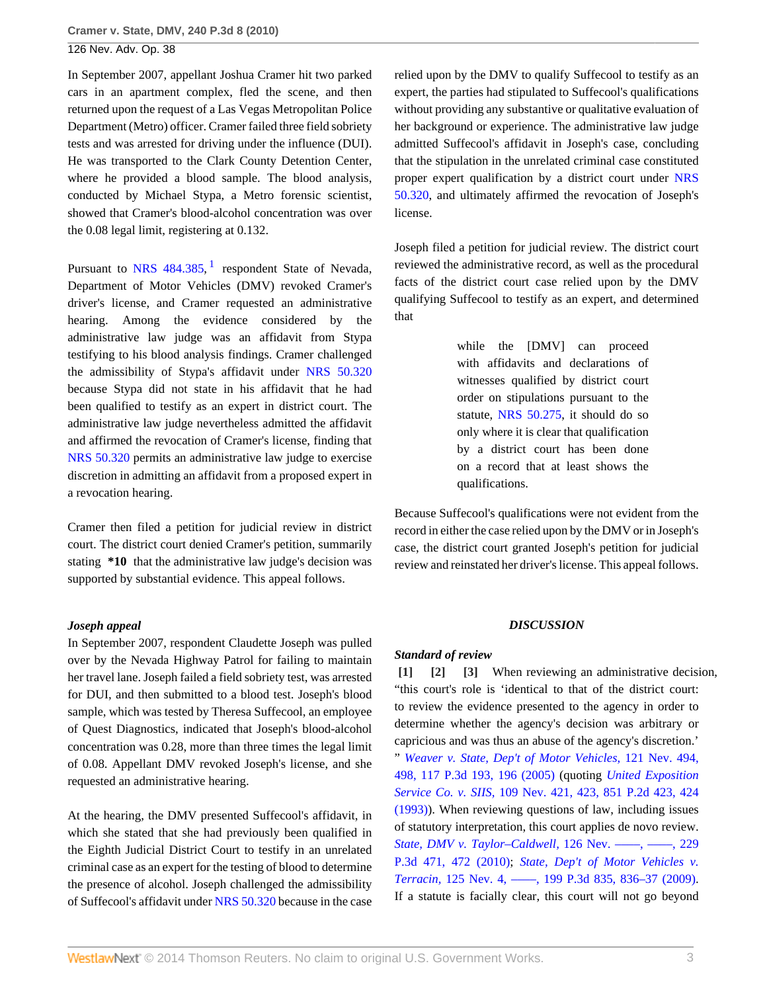In September 2007, appellant Joshua Cramer hit two parked cars in an apartment complex, fled the scene, and then returned upon the request of a Las Vegas Metropolitan Police Department (Metro) officer. Cramer failed three field sobriety tests and was arrested for driving under the influence (DUI). He was transported to the Clark County Detention Center, where he provided a blood sample. The blood analysis, conducted by Michael Stypa, a Metro forensic scientist, showed that Cramer's blood-alcohol concentration was over the 0.08 legal limit, registering at 0.132.

<span id="page-2-3"></span>Pursuant to [NRS 484.385,](http://www.westlaw.com/Link/Document/FullText?findType=L&pubNum=1000363&cite=NVST484.385&originatingDoc=Ied01c5b2d2c911df89dabf2e8566150b&refType=LQ&originationContext=document&vr=3.0&rs=cblt1.0&transitionType=DocumentItem&contextData=(sc.Search)) <sup>[1](#page-5-0)</sup> respondent State of Nevada, Department of Motor Vehicles (DMV) revoked Cramer's driver's license, and Cramer requested an administrative hearing. Among the evidence considered by the administrative law judge was an affidavit from Stypa testifying to his blood analysis findings. Cramer challenged the admissibility of Stypa's affidavit under [NRS 50.320](http://www.westlaw.com/Link/Document/FullText?findType=L&pubNum=1000363&cite=NVST50.320&originatingDoc=Ied01c5b2d2c911df89dabf2e8566150b&refType=LQ&originationContext=document&vr=3.0&rs=cblt1.0&transitionType=DocumentItem&contextData=(sc.Search)) because Stypa did not state in his affidavit that he had been qualified to testify as an expert in district court. The administrative law judge nevertheless admitted the affidavit and affirmed the revocation of Cramer's license, finding that [NRS 50.320](http://www.westlaw.com/Link/Document/FullText?findType=L&pubNum=1000363&cite=NVST50.320&originatingDoc=Ied01c5b2d2c911df89dabf2e8566150b&refType=LQ&originationContext=document&vr=3.0&rs=cblt1.0&transitionType=DocumentItem&contextData=(sc.Search)) permits an administrative law judge to exercise discretion in admitting an affidavit from a proposed expert in a revocation hearing.

Cramer then filed a petition for judicial review in district court. The district court denied Cramer's petition, summarily stating **\*10** that the administrative law judge's decision was supported by substantial evidence. This appeal follows.

## *Joseph appeal*

In September 2007, respondent Claudette Joseph was pulled over by the Nevada Highway Patrol for failing to maintain her travel lane. Joseph failed a field sobriety test, was arrested for DUI, and then submitted to a blood test. Joseph's blood sample, which was tested by Theresa Suffecool, an employee of Quest Diagnostics, indicated that Joseph's blood-alcohol concentration was 0.28, more than three times the legal limit of 0.08. Appellant DMV revoked Joseph's license, and she requested an administrative hearing.

At the hearing, the DMV presented Suffecool's affidavit, in which she stated that she had previously been qualified in the Eighth Judicial District Court to testify in an unrelated criminal case as an expert for the testing of blood to determine the presence of alcohol. Joseph challenged the admissibility of Suffecool's affidavit under [NRS 50.320](http://www.westlaw.com/Link/Document/FullText?findType=L&pubNum=1000363&cite=NVST50.320&originatingDoc=Ied01c5b2d2c911df89dabf2e8566150b&refType=LQ&originationContext=document&vr=3.0&rs=cblt1.0&transitionType=DocumentItem&contextData=(sc.Search)) because in the case relied upon by the DMV to qualify Suffecool to testify as an expert, the parties had stipulated to Suffecool's qualifications without providing any substantive or qualitative evaluation of her background or experience. The administrative law judge admitted Suffecool's affidavit in Joseph's case, concluding that the stipulation in the unrelated criminal case constituted proper expert qualification by a district court under [NRS](http://www.westlaw.com/Link/Document/FullText?findType=L&pubNum=1000363&cite=NVST50.320&originatingDoc=Ied01c5b2d2c911df89dabf2e8566150b&refType=LQ&originationContext=document&vr=3.0&rs=cblt1.0&transitionType=DocumentItem&contextData=(sc.Search)) [50.320](http://www.westlaw.com/Link/Document/FullText?findType=L&pubNum=1000363&cite=NVST50.320&originatingDoc=Ied01c5b2d2c911df89dabf2e8566150b&refType=LQ&originationContext=document&vr=3.0&rs=cblt1.0&transitionType=DocumentItem&contextData=(sc.Search)), and ultimately affirmed the revocation of Joseph's license.

Joseph filed a petition for judicial review. The district court reviewed the administrative record, as well as the procedural facts of the district court case relied upon by the DMV qualifying Suffecool to testify as an expert, and determined that

> while the [DMV] can proceed with affidavits and declarations of witnesses qualified by district court order on stipulations pursuant to the statute, [NRS 50.275](http://www.westlaw.com/Link/Document/FullText?findType=L&pubNum=1000363&cite=NVST50.275&originatingDoc=Ied01c5b2d2c911df89dabf2e8566150b&refType=LQ&originationContext=document&vr=3.0&rs=cblt1.0&transitionType=DocumentItem&contextData=(sc.Search)), it should do so only where it is clear that qualification by a district court has been done on a record that at least shows the qualifications.

Because Suffecool's qualifications were not evident from the record in either the case relied upon by the DMV or in Joseph's case, the district court granted Joseph's petition for judicial review and reinstated her driver's license. This appeal follows.

#### <span id="page-2-2"></span>*DISCUSSION*

#### *Standard of review*

<span id="page-2-1"></span><span id="page-2-0"></span>**[\[1\]](#page-0-1) [\[2\]](#page-0-2) [\[3\]](#page-0-3)** When reviewing an administrative decision, "this court's role is 'identical to that of the district court: to review the evidence presented to the agency in order to determine whether the agency's decision was arbitrary or capricious and was thus an abuse of the agency's discretion.' " *[Weaver v. State, Dep't of Motor Vehicles,](http://www.westlaw.com/Link/Document/FullText?findType=Y&serNum=2007113808&pubNum=4645&originationContext=document&vr=3.0&rs=cblt1.0&transitionType=DocumentItem&contextData=(sc.Search)#co_pp_sp_4645_196)* 121 Nev. 494, [498, 117 P.3d 193, 196 \(2005\)](http://www.westlaw.com/Link/Document/FullText?findType=Y&serNum=2007113808&pubNum=4645&originationContext=document&vr=3.0&rs=cblt1.0&transitionType=DocumentItem&contextData=(sc.Search)#co_pp_sp_4645_196) (quoting *[United Exposition](http://www.westlaw.com/Link/Document/FullText?findType=Y&serNum=1993095489&pubNum=661&originationContext=document&vr=3.0&rs=cblt1.0&transitionType=DocumentItem&contextData=(sc.Search)#co_pp_sp_661_424) Service Co. v. SIIS,* [109 Nev. 421, 423, 851 P.2d 423, 424](http://www.westlaw.com/Link/Document/FullText?findType=Y&serNum=1993095489&pubNum=661&originationContext=document&vr=3.0&rs=cblt1.0&transitionType=DocumentItem&contextData=(sc.Search)#co_pp_sp_661_424) [\(1993\)\)](http://www.westlaw.com/Link/Document/FullText?findType=Y&serNum=1993095489&pubNum=661&originationContext=document&vr=3.0&rs=cblt1.0&transitionType=DocumentItem&contextData=(sc.Search)#co_pp_sp_661_424). When reviewing questions of law, including issues of statutory interpretation, this court applies de novo review. *[State, DMV v. Taylor–Caldwell,](http://www.westlaw.com/Link/Document/FullText?findType=Y&serNum=2021946551&pubNum=4645&originationContext=document&vr=3.0&rs=cblt1.0&transitionType=DocumentItem&contextData=(sc.Search)#co_pp_sp_4645_472)* 126 Nev. ––––, ––––, 229 [P.3d 471, 472 \(2010\)](http://www.westlaw.com/Link/Document/FullText?findType=Y&serNum=2021946551&pubNum=4645&originationContext=document&vr=3.0&rs=cblt1.0&transitionType=DocumentItem&contextData=(sc.Search)#co_pp_sp_4645_472); *[State, Dep't of Motor Vehicles v.](http://www.westlaw.com/Link/Document/FullText?findType=Y&serNum=2017972767&pubNum=4645&originationContext=document&vr=3.0&rs=cblt1.0&transitionType=DocumentItem&contextData=(sc.Search)#co_pp_sp_4645_836) Terracin,* [125 Nev. 4, ––––, 199 P.3d 835, 836–37 \(2009\).](http://www.westlaw.com/Link/Document/FullText?findType=Y&serNum=2017972767&pubNum=4645&originationContext=document&vr=3.0&rs=cblt1.0&transitionType=DocumentItem&contextData=(sc.Search)#co_pp_sp_4645_836) If a statute is facially clear, this court will not go beyond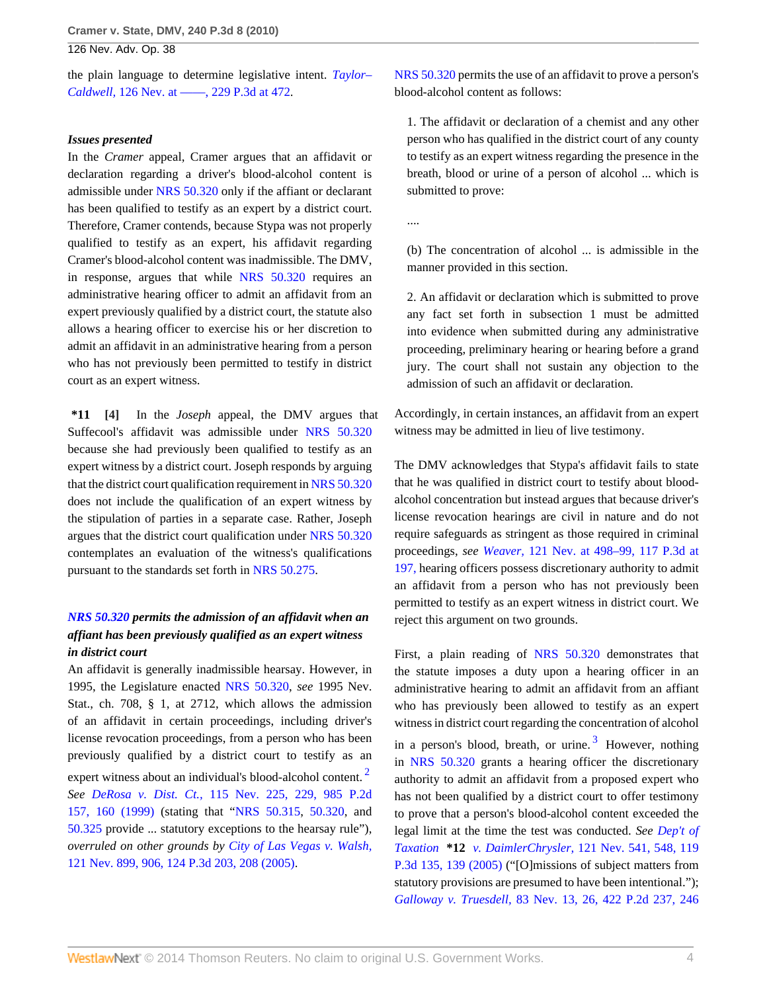the plain language to determine legislative intent. *[Taylor–](http://www.westlaw.com/Link/Document/FullText?findType=Y&serNum=2021946551&pubNum=4645&originationContext=document&vr=3.0&rs=cblt1.0&transitionType=DocumentItem&contextData=(sc.Search)#co_pp_sp_4645_472) Caldwell,* [126 Nev. at ––––, 229 P.3d at 472.](http://www.westlaw.com/Link/Document/FullText?findType=Y&serNum=2021946551&pubNum=4645&originationContext=document&vr=3.0&rs=cblt1.0&transitionType=DocumentItem&contextData=(sc.Search)#co_pp_sp_4645_472)

#### *Issues presented*

In the *Cramer* appeal, Cramer argues that an affidavit or declaration regarding a driver's blood-alcohol content is admissible under [NRS 50.320](http://www.westlaw.com/Link/Document/FullText?findType=L&pubNum=1000363&cite=NVST50.320&originatingDoc=Ied01c5b2d2c911df89dabf2e8566150b&refType=LQ&originationContext=document&vr=3.0&rs=cblt1.0&transitionType=DocumentItem&contextData=(sc.Search)) only if the affiant or declarant has been qualified to testify as an expert by a district court. Therefore, Cramer contends, because Stypa was not properly qualified to testify as an expert, his affidavit regarding Cramer's blood-alcohol content was inadmissible. The DMV, in response, argues that while [NRS 50.320](http://www.westlaw.com/Link/Document/FullText?findType=L&pubNum=1000363&cite=NVST50.320&originatingDoc=Ied01c5b2d2c911df89dabf2e8566150b&refType=LQ&originationContext=document&vr=3.0&rs=cblt1.0&transitionType=DocumentItem&contextData=(sc.Search)) requires an administrative hearing officer to admit an affidavit from an expert previously qualified by a district court, the statute also allows a hearing officer to exercise his or her discretion to admit an affidavit in an administrative hearing from a person who has not previously been permitted to testify in district court as an expert witness.

<span id="page-3-0"></span>**\*11 [\[4\]](#page-0-0)** In the *Joseph* appeal, the DMV argues that Suffecool's affidavit was admissible under [NRS 50.320](http://www.westlaw.com/Link/Document/FullText?findType=L&pubNum=1000363&cite=NVST50.320&originatingDoc=Ied01c5b2d2c911df89dabf2e8566150b&refType=LQ&originationContext=document&vr=3.0&rs=cblt1.0&transitionType=DocumentItem&contextData=(sc.Search)) because she had previously been qualified to testify as an expert witness by a district court. Joseph responds by arguing that the district court qualification requirement in [NRS 50.320](http://www.westlaw.com/Link/Document/FullText?findType=L&pubNum=1000363&cite=NVST50.320&originatingDoc=Ied01c5b2d2c911df89dabf2e8566150b&refType=LQ&originationContext=document&vr=3.0&rs=cblt1.0&transitionType=DocumentItem&contextData=(sc.Search)) does not include the qualification of an expert witness by the stipulation of parties in a separate case. Rather, Joseph argues that the district court qualification under [NRS 50.320](http://www.westlaw.com/Link/Document/FullText?findType=L&pubNum=1000363&cite=NVST50.320&originatingDoc=Ied01c5b2d2c911df89dabf2e8566150b&refType=LQ&originationContext=document&vr=3.0&rs=cblt1.0&transitionType=DocumentItem&contextData=(sc.Search)) contemplates an evaluation of the witness's qualifications pursuant to the standards set forth in [NRS 50.275](http://www.westlaw.com/Link/Document/FullText?findType=L&pubNum=1000363&cite=NVST50.275&originatingDoc=Ied01c5b2d2c911df89dabf2e8566150b&refType=LQ&originationContext=document&vr=3.0&rs=cblt1.0&transitionType=DocumentItem&contextData=(sc.Search)).

# *[NRS 50.320](http://www.westlaw.com/Link/Document/FullText?findType=L&pubNum=1000363&cite=NVST50.320&originatingDoc=Ied01c5b2d2c911df89dabf2e8566150b&refType=LQ&originationContext=document&vr=3.0&rs=cblt1.0&transitionType=DocumentItem&contextData=(sc.Search)) permits the admission of an affidavit when an affiant has been previously qualified as an expert witness in district court*

An affidavit is generally inadmissible hearsay. However, in 1995, the Legislature enacted [NRS 50.320,](http://www.westlaw.com/Link/Document/FullText?findType=L&pubNum=1000363&cite=NVST50.320&originatingDoc=Ied01c5b2d2c911df89dabf2e8566150b&refType=LQ&originationContext=document&vr=3.0&rs=cblt1.0&transitionType=DocumentItem&contextData=(sc.Search)) *see* 1995 Nev. Stat., ch. 708, § 1, at 2712, which allows the admission of an affidavit in certain proceedings, including driver's license revocation proceedings, from a person who has been previously qualified by a district court to testify as an expert witness about an individual's blood-alcohol content.<sup>[2](#page-5-1)</sup> *See DeRosa v. Dist. Ct.,* [115 Nev. 225, 229, 985 P.2d](http://www.westlaw.com/Link/Document/FullText?findType=Y&serNum=1999201546&pubNum=661&originationContext=document&vr=3.0&rs=cblt1.0&transitionType=DocumentItem&contextData=(sc.Search)#co_pp_sp_661_160) [157, 160 \(1999\)](http://www.westlaw.com/Link/Document/FullText?findType=Y&serNum=1999201546&pubNum=661&originationContext=document&vr=3.0&rs=cblt1.0&transitionType=DocumentItem&contextData=(sc.Search)#co_pp_sp_661_160) (stating that "[NRS 50.315,](http://www.westlaw.com/Link/Document/FullText?findType=L&pubNum=1000363&cite=NVST50.315&originatingDoc=Ied01c5b2d2c911df89dabf2e8566150b&refType=LQ&originationContext=document&vr=3.0&rs=cblt1.0&transitionType=DocumentItem&contextData=(sc.Search)) [50.320,](http://www.westlaw.com/Link/Document/FullText?findType=L&pubNum=1000363&cite=NVST50.320&originatingDoc=Ied01c5b2d2c911df89dabf2e8566150b&refType=LQ&originationContext=document&vr=3.0&rs=cblt1.0&transitionType=DocumentItem&contextData=(sc.Search)) and [50.325](http://www.westlaw.com/Link/Document/FullText?findType=L&pubNum=1000363&cite=NVST50.325&originatingDoc=Ied01c5b2d2c911df89dabf2e8566150b&refType=LQ&originationContext=document&vr=3.0&rs=cblt1.0&transitionType=DocumentItem&contextData=(sc.Search)) provide ... statutory exceptions to the hearsay rule"), *overruled on other grounds by [City of Las Vegas v. Walsh,](http://www.westlaw.com/Link/Document/FullText?findType=Y&serNum=2007897434&pubNum=4645&originationContext=document&vr=3.0&rs=cblt1.0&transitionType=DocumentItem&contextData=(sc.Search)#co_pp_sp_4645_208)* [121 Nev. 899, 906, 124 P.3d 203, 208 \(2005\)](http://www.westlaw.com/Link/Document/FullText?findType=Y&serNum=2007897434&pubNum=4645&originationContext=document&vr=3.0&rs=cblt1.0&transitionType=DocumentItem&contextData=(sc.Search)#co_pp_sp_4645_208).

[NRS 50.320](http://www.westlaw.com/Link/Document/FullText?findType=L&pubNum=1000363&cite=NVST50.320&originatingDoc=Ied01c5b2d2c911df89dabf2e8566150b&refType=LQ&originationContext=document&vr=3.0&rs=cblt1.0&transitionType=DocumentItem&contextData=(sc.Search)) permits the use of an affidavit to prove a person's blood-alcohol content as follows:

1. The affidavit or declaration of a chemist and any other person who has qualified in the district court of any county to testify as an expert witness regarding the presence in the breath, blood or urine of a person of alcohol ... which is submitted to prove:

....

(b) The concentration of alcohol ... is admissible in the manner provided in this section.

2. An affidavit or declaration which is submitted to prove any fact set forth in subsection 1 must be admitted into evidence when submitted during any administrative proceeding, preliminary hearing or hearing before a grand jury. The court shall not sustain any objection to the admission of such an affidavit or declaration.

Accordingly, in certain instances, an affidavit from an expert witness may be admitted in lieu of live testimony.

The DMV acknowledges that Stypa's affidavit fails to state that he was qualified in district court to testify about bloodalcohol concentration but instead argues that because driver's license revocation hearings are civil in nature and do not require safeguards as stringent as those required in criminal proceedings, *see Weaver,* [121 Nev. at 498–99, 117 P.3d at](http://www.westlaw.com/Link/Document/FullText?findType=Y&serNum=2007113808&pubNum=4645&originationContext=document&vr=3.0&rs=cblt1.0&transitionType=DocumentItem&contextData=(sc.Search)#co_pp_sp_4645_197) [197,](http://www.westlaw.com/Link/Document/FullText?findType=Y&serNum=2007113808&pubNum=4645&originationContext=document&vr=3.0&rs=cblt1.0&transitionType=DocumentItem&contextData=(sc.Search)#co_pp_sp_4645_197) hearing officers possess discretionary authority to admit an affidavit from a person who has not previously been permitted to testify as an expert witness in district court. We reject this argument on two grounds.

<span id="page-3-2"></span><span id="page-3-1"></span>First, a plain reading of [NRS 50.320](http://www.westlaw.com/Link/Document/FullText?findType=L&pubNum=1000363&cite=NVST50.320&originatingDoc=Ied01c5b2d2c911df89dabf2e8566150b&refType=LQ&originationContext=document&vr=3.0&rs=cblt1.0&transitionType=DocumentItem&contextData=(sc.Search)) demonstrates that the statute imposes a duty upon a hearing officer in an administrative hearing to admit an affidavit from an affiant who has previously been allowed to testify as an expert witness in district court regarding the concentration of alcohol in a person's blood, breath, or urine.<sup>[3](#page-5-2)</sup> However, nothing in [NRS 50.320](http://www.westlaw.com/Link/Document/FullText?findType=L&pubNum=1000363&cite=NVST50.320&originatingDoc=Ied01c5b2d2c911df89dabf2e8566150b&refType=LQ&originationContext=document&vr=3.0&rs=cblt1.0&transitionType=DocumentItem&contextData=(sc.Search)) grants a hearing officer the discretionary authority to admit an affidavit from a proposed expert who has not been qualified by a district court to offer testimony to prove that a person's blood-alcohol content exceeded the legal limit at the time the test was conducted. *See [Dep't of](http://www.westlaw.com/Link/Document/FullText?findType=Y&serNum=2007294902&pubNum=4645&originationContext=document&vr=3.0&rs=cblt1.0&transitionType=DocumentItem&contextData=(sc.Search)#co_pp_sp_4645_139) Taxation* **\*12** *v. DaimlerChrysler,* [121 Nev. 541, 548, 119](http://www.westlaw.com/Link/Document/FullText?findType=Y&serNum=2007294902&pubNum=4645&originationContext=document&vr=3.0&rs=cblt1.0&transitionType=DocumentItem&contextData=(sc.Search)#co_pp_sp_4645_139) [P.3d 135, 139 \(2005\)](http://www.westlaw.com/Link/Document/FullText?findType=Y&serNum=2007294902&pubNum=4645&originationContext=document&vr=3.0&rs=cblt1.0&transitionType=DocumentItem&contextData=(sc.Search)#co_pp_sp_4645_139) ("[O]missions of subject matters from statutory provisions are presumed to have been intentional."); *Galloway v. Truesdell,* [83 Nev. 13, 26, 422 P.2d 237, 246](http://www.westlaw.com/Link/Document/FullText?findType=Y&serNum=1967126042&pubNum=661&originationContext=document&vr=3.0&rs=cblt1.0&transitionType=DocumentItem&contextData=(sc.Search)#co_pp_sp_661_246)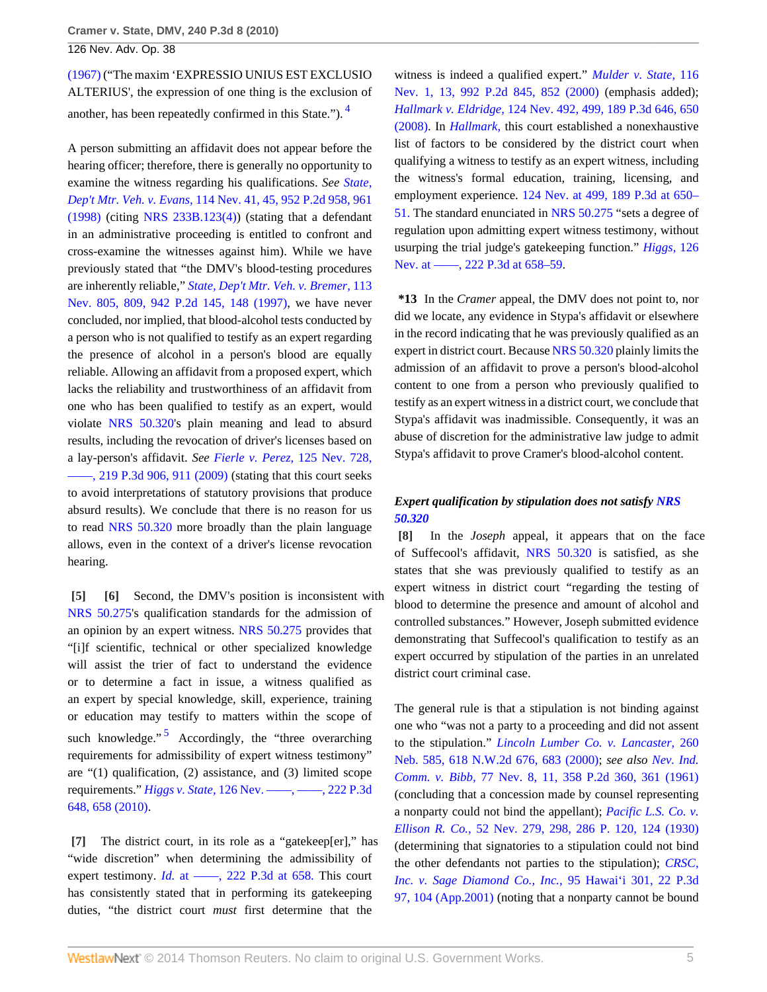[\(1967\)](http://www.westlaw.com/Link/Document/FullText?findType=Y&serNum=1967126042&pubNum=661&originationContext=document&vr=3.0&rs=cblt1.0&transitionType=DocumentItem&contextData=(sc.Search)#co_pp_sp_661_246) ("The maxim 'EXPRESSIO UNIUS EST EXCLUSIO ALTERIUS', the expression of one thing is the exclusion of another, has been repeatedly confirmed in this State."). [4](#page-5-3)

A person submitting an affidavit does not appear before the hearing officer; therefore, there is generally no opportunity to examine the witness regarding his qualifications. *See [State,](http://www.westlaw.com/Link/Document/FullText?findType=Y&serNum=1998039219&pubNum=661&originationContext=document&vr=3.0&rs=cblt1.0&transitionType=DocumentItem&contextData=(sc.Search)#co_pp_sp_661_961) Dep't Mtr. Veh. v. Evans,* [114 Nev. 41, 45, 952 P.2d 958, 961](http://www.westlaw.com/Link/Document/FullText?findType=Y&serNum=1998039219&pubNum=661&originationContext=document&vr=3.0&rs=cblt1.0&transitionType=DocumentItem&contextData=(sc.Search)#co_pp_sp_661_961)  $(1998)$  (citing [NRS 233B.123\(4\)\)](http://www.westlaw.com/Link/Document/FullText?findType=L&pubNum=1000363&cite=NVST233B.123&originatingDoc=Ied01c5b2d2c911df89dabf2e8566150b&refType=LQ&originationContext=document&vr=3.0&rs=cblt1.0&transitionType=DocumentItem&contextData=(sc.Search)) (stating that a defendant in an administrative proceeding is entitled to confront and cross-examine the witnesses against him). While we have previously stated that "the DMV's blood-testing procedures are inherently reliable," *[State, Dep't Mtr. Veh. v. Bremer,](http://www.westlaw.com/Link/Document/FullText?findType=Y&serNum=1997151353&pubNum=661&originationContext=document&vr=3.0&rs=cblt1.0&transitionType=DocumentItem&contextData=(sc.Search)#co_pp_sp_661_148)* 113 [Nev. 805, 809, 942 P.2d 145, 148 \(1997\)](http://www.westlaw.com/Link/Document/FullText?findType=Y&serNum=1997151353&pubNum=661&originationContext=document&vr=3.0&rs=cblt1.0&transitionType=DocumentItem&contextData=(sc.Search)#co_pp_sp_661_148), we have never concluded, nor implied, that blood-alcohol tests conducted by a person who is not qualified to testify as an expert regarding the presence of alcohol in a person's blood are equally reliable. Allowing an affidavit from a proposed expert, which lacks the reliability and trustworthiness of an affidavit from one who has been qualified to testify as an expert, would violate [NRS 50.320](http://www.westlaw.com/Link/Document/FullText?findType=L&pubNum=1000363&cite=NVST50.320&originatingDoc=Ied01c5b2d2c911df89dabf2e8566150b&refType=LQ&originationContext=document&vr=3.0&rs=cblt1.0&transitionType=DocumentItem&contextData=(sc.Search))'s plain meaning and lead to absurd results, including the revocation of driver's licenses based on a lay-person's affidavit. *See [Fierle v. Perez,](http://www.westlaw.com/Link/Document/FullText?findType=Y&serNum=2020518169&pubNum=4645&originationContext=document&vr=3.0&rs=cblt1.0&transitionType=DocumentItem&contextData=(sc.Search)#co_pp_sp_4645_911)* 125 Nev. 728,  $-$ , 219 P.3d 906, 911 (2009) (stating that this court seeks to avoid interpretations of statutory provisions that produce absurd results). We conclude that there is no reason for us to read [NRS 50.320](http://www.westlaw.com/Link/Document/FullText?findType=L&pubNum=1000363&cite=NVST50.320&originatingDoc=Ied01c5b2d2c911df89dabf2e8566150b&refType=LQ&originationContext=document&vr=3.0&rs=cblt1.0&transitionType=DocumentItem&contextData=(sc.Search)) more broadly than the plain language allows, even in the context of a driver's license revocation hearing.

<span id="page-4-1"></span><span id="page-4-0"></span>**[\[5\]](#page-0-4) [\[6\]](#page-1-1)** Second, the DMV's position is inconsistent with [NRS 50.275](http://www.westlaw.com/Link/Document/FullText?findType=L&pubNum=1000363&cite=NVST50.275&originatingDoc=Ied01c5b2d2c911df89dabf2e8566150b&refType=LQ&originationContext=document&vr=3.0&rs=cblt1.0&transitionType=DocumentItem&contextData=(sc.Search))'s qualification standards for the admission of an opinion by an expert witness. [NRS 50.275](http://www.westlaw.com/Link/Document/FullText?findType=L&pubNum=1000363&cite=NVST50.275&originatingDoc=Ied01c5b2d2c911df89dabf2e8566150b&refType=LQ&originationContext=document&vr=3.0&rs=cblt1.0&transitionType=DocumentItem&contextData=(sc.Search)) provides that "[i]f scientific, technical or other specialized knowledge will assist the trier of fact to understand the evidence or to determine a fact in issue, a witness qualified as an expert by special knowledge, skill, experience, training or education may testify to matters within the scope of such knowledge."<sup>[5](#page-5-4)</sup> Accordingly, the "three overarching requirements for admissibility of expert witness testimony" are "(1) qualification, (2) assistance, and (3) limited scope requirements." *Higgs v. State,* [126 Nev. ––––, ––––, 222 P.3d](http://www.westlaw.com/Link/Document/FullText?findType=Y&serNum=2021148926&pubNum=4645&originationContext=document&vr=3.0&rs=cblt1.0&transitionType=DocumentItem&contextData=(sc.Search)#co_pp_sp_4645_658) [648, 658 \(2010\)](http://www.westlaw.com/Link/Document/FullText?findType=Y&serNum=2021148926&pubNum=4645&originationContext=document&vr=3.0&rs=cblt1.0&transitionType=DocumentItem&contextData=(sc.Search)#co_pp_sp_4645_658).

<span id="page-4-5"></span><span id="page-4-2"></span>**[\[7\]](#page-1-2)** The district court, in its role as a "gatekeep[er]," has "wide discretion" when determining the admissibility of expert testimony. *Id.* at ——, 222 P.3d at 658. This court has consistently stated that in performing its gatekeeping duties, "the district court *must* first determine that the

<span id="page-4-4"></span>witness is indeed a qualified expert." *[Mulder v. State,](http://www.westlaw.com/Link/Document/FullText?findType=Y&serNum=2000034406&pubNum=661&originationContext=document&vr=3.0&rs=cblt1.0&transitionType=DocumentItem&contextData=(sc.Search)#co_pp_sp_661_852)* 116 [Nev. 1, 13, 992 P.2d 845, 852 \(2000\)](http://www.westlaw.com/Link/Document/FullText?findType=Y&serNum=2000034406&pubNum=661&originationContext=document&vr=3.0&rs=cblt1.0&transitionType=DocumentItem&contextData=(sc.Search)#co_pp_sp_661_852) (emphasis added); *Hallmark v. Eldridge,* [124 Nev. 492, 499, 189 P.3d 646, 650](http://www.westlaw.com/Link/Document/FullText?findType=Y&serNum=2016611702&pubNum=4645&originationContext=document&vr=3.0&rs=cblt1.0&transitionType=DocumentItem&contextData=(sc.Search)#co_pp_sp_4645_650) [\(2008\).](http://www.westlaw.com/Link/Document/FullText?findType=Y&serNum=2016611702&pubNum=4645&originationContext=document&vr=3.0&rs=cblt1.0&transitionType=DocumentItem&contextData=(sc.Search)#co_pp_sp_4645_650) In *[Hallmark,](http://www.westlaw.com/Link/Document/FullText?findType=Y&serNum=2016611702&originationContext=document&vr=3.0&rs=cblt1.0&transitionType=DocumentItem&contextData=(sc.Search))* this court established a nonexhaustive list of factors to be considered by the district court when qualifying a witness to testify as an expert witness, including the witness's formal education, training, licensing, and employment experience. [124 Nev. at 499, 189 P.3d at 650–](http://www.westlaw.com/Link/Document/FullText?findType=Y&serNum=2016611702&pubNum=4645&originationContext=document&vr=3.0&rs=cblt1.0&transitionType=DocumentItem&contextData=(sc.Search)#co_pp_sp_4645_650) [51.](http://www.westlaw.com/Link/Document/FullText?findType=Y&serNum=2016611702&pubNum=4645&originationContext=document&vr=3.0&rs=cblt1.0&transitionType=DocumentItem&contextData=(sc.Search)#co_pp_sp_4645_650) The standard enunciated in [NRS 50.275](http://www.westlaw.com/Link/Document/FullText?findType=L&pubNum=1000363&cite=NVST50.275&originatingDoc=Ied01c5b2d2c911df89dabf2e8566150b&refType=LQ&originationContext=document&vr=3.0&rs=cblt1.0&transitionType=DocumentItem&contextData=(sc.Search)) "sets a degree of regulation upon admitting expert witness testimony, without usurping the trial judge's gatekeeping function." *[Higgs,](http://www.westlaw.com/Link/Document/FullText?findType=Y&serNum=2021148926&pubNum=4645&originationContext=document&vr=3.0&rs=cblt1.0&transitionType=DocumentItem&contextData=(sc.Search)#co_pp_sp_4645_658)* 126 Nev. at ——, 222 P.3d at 658–59.

**\*13** In the *Cramer* appeal, the DMV does not point to, nor did we locate, any evidence in Stypa's affidavit or elsewhere in the record indicating that he was previously qualified as an expert in district court. Because [NRS 50.320](http://www.westlaw.com/Link/Document/FullText?findType=L&pubNum=1000363&cite=NVST50.320&originatingDoc=Ied01c5b2d2c911df89dabf2e8566150b&refType=LQ&originationContext=document&vr=3.0&rs=cblt1.0&transitionType=DocumentItem&contextData=(sc.Search)) plainly limits the admission of an affidavit to prove a person's blood-alcohol content to one from a person who previously qualified to testify as an expert witness in a district court, we conclude that Stypa's affidavit was inadmissible. Consequently, it was an abuse of discretion for the administrative law judge to admit Stypa's affidavit to prove Cramer's blood-alcohol content.

# *Expert qualification by stipulation does not satisfy [NRS](http://www.westlaw.com/Link/Document/FullText?findType=L&pubNum=1000363&cite=NVST50.320&originatingDoc=Ied01c5b2d2c911df89dabf2e8566150b&refType=LQ&originationContext=document&vr=3.0&rs=cblt1.0&transitionType=DocumentItem&contextData=(sc.Search)) [50.320](http://www.westlaw.com/Link/Document/FullText?findType=L&pubNum=1000363&cite=NVST50.320&originatingDoc=Ied01c5b2d2c911df89dabf2e8566150b&refType=LQ&originationContext=document&vr=3.0&rs=cblt1.0&transitionType=DocumentItem&contextData=(sc.Search))*

<span id="page-4-3"></span>**[\[8\]](#page-1-0)** In the *Joseph* appeal, it appears that on the face of Suffecool's affidavit, [NRS 50.320](http://www.westlaw.com/Link/Document/FullText?findType=L&pubNum=1000363&cite=NVST50.320&originatingDoc=Ied01c5b2d2c911df89dabf2e8566150b&refType=LQ&originationContext=document&vr=3.0&rs=cblt1.0&transitionType=DocumentItem&contextData=(sc.Search)) is satisfied, as she states that she was previously qualified to testify as an expert witness in district court "regarding the testing of blood to determine the presence and amount of alcohol and controlled substances." However, Joseph submitted evidence demonstrating that Suffecool's qualification to testify as an expert occurred by stipulation of the parties in an unrelated district court criminal case.

The general rule is that a stipulation is not binding against one who "was not a party to a proceeding and did not assent to the stipulation." *[Lincoln Lumber Co. v. Lancaster,](http://www.westlaw.com/Link/Document/FullText?findType=Y&serNum=2000582977&pubNum=595&originationContext=document&vr=3.0&rs=cblt1.0&transitionType=DocumentItem&contextData=(sc.Search)#co_pp_sp_595_683)* 260 [Neb. 585, 618 N.W.2d 676, 683 \(2000\)](http://www.westlaw.com/Link/Document/FullText?findType=Y&serNum=2000582977&pubNum=595&originationContext=document&vr=3.0&rs=cblt1.0&transitionType=DocumentItem&contextData=(sc.Search)#co_pp_sp_595_683); *see also [Nev. Ind.](http://www.westlaw.com/Link/Document/FullText?findType=Y&serNum=1961167192&pubNum=661&originationContext=document&vr=3.0&rs=cblt1.0&transitionType=DocumentItem&contextData=(sc.Search)#co_pp_sp_661_361) Comm. v. Bibb,* [77 Nev. 8, 11, 358 P.2d 360, 361 \(1961\)](http://www.westlaw.com/Link/Document/FullText?findType=Y&serNum=1961167192&pubNum=661&originationContext=document&vr=3.0&rs=cblt1.0&transitionType=DocumentItem&contextData=(sc.Search)#co_pp_sp_661_361) (concluding that a concession made by counsel representing a nonparty could not bind the appellant); *[Pacific L.S. Co. v.](http://www.westlaw.com/Link/Document/FullText?findType=Y&serNum=1930102662&pubNum=660&originationContext=document&vr=3.0&rs=cblt1.0&transitionType=DocumentItem&contextData=(sc.Search)#co_pp_sp_660_124) Ellison R. Co.,* [52 Nev. 279, 298, 286 P. 120, 124 \(1930\)](http://www.westlaw.com/Link/Document/FullText?findType=Y&serNum=1930102662&pubNum=660&originationContext=document&vr=3.0&rs=cblt1.0&transitionType=DocumentItem&contextData=(sc.Search)#co_pp_sp_660_124) (determining that signatories to a stipulation could not bind the other defendants not parties to the stipulation); *[CRSC,](http://www.westlaw.com/Link/Document/FullText?findType=Y&serNum=2001277509&pubNum=4645&originationContext=document&vr=3.0&rs=cblt1.0&transitionType=DocumentItem&contextData=(sc.Search)#co_pp_sp_4645_104) [Inc. v. Sage Diamond Co., Inc.,](http://www.westlaw.com/Link/Document/FullText?findType=Y&serNum=2001277509&pubNum=4645&originationContext=document&vr=3.0&rs=cblt1.0&transitionType=DocumentItem&contextData=(sc.Search)#co_pp_sp_4645_104)* 95 Hawai'i 301, 22 P.3d [97, 104 \(App.2001\)](http://www.westlaw.com/Link/Document/FullText?findType=Y&serNum=2001277509&pubNum=4645&originationContext=document&vr=3.0&rs=cblt1.0&transitionType=DocumentItem&contextData=(sc.Search)#co_pp_sp_4645_104) (noting that a nonparty cannot be bound